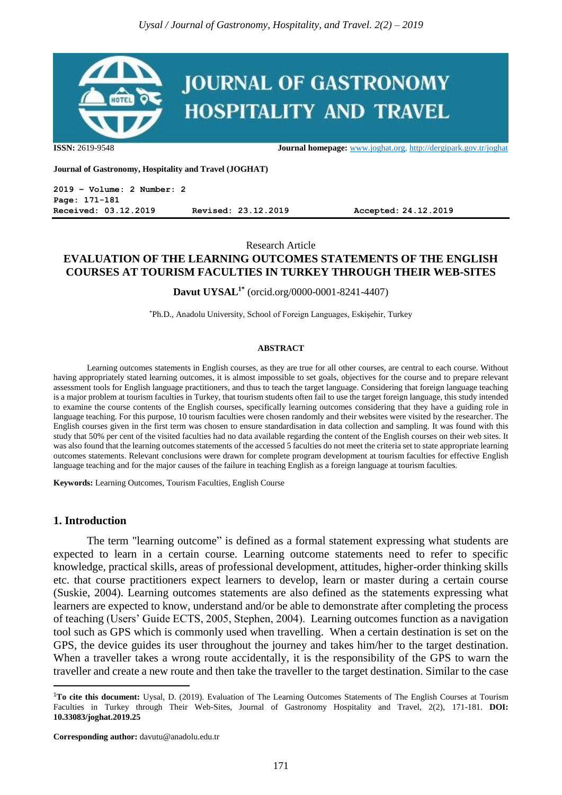

**ISSN:** 2619-9548 **Journal homepage:** [www.joghat.org,](http://www.joghat.org/)<http://dergipark.gov.tr/joghat>

**Journal of Gastronomy, Hospitality and Travel (JOGHAT)**

**2019 – Volume: 2 Number: 2 Page: 171-181 Received: 03.12.2019 Revised: 23.12.2019 Accepted: 24.12.2019**

Research Article

## **EVALUATION OF THE LEARNING OUTCOMES STATEMENTS OF THE ENGLISH COURSES AT TOURISM FACULTIES IN TURKEY THROUGH THEIR WEB-SITES**

**Davut UYSAL1\*** (orcid.org/0000-0001-8241-4407)

\*Ph.D., Anadolu University, School of Foreign Languages, Eskişehir, Turkey

#### **ABSTRACT**

Learning outcomes statements in English courses, as they are true for all other courses, are central to each course. Without having appropriately stated learning outcomes, it is almost impossible to set goals, objectives for the course and to prepare relevant assessment tools for English language practitioners, and thus to teach the target language. Considering that foreign language teaching is a major problem at tourism faculties in Turkey, that tourism students often fail to use the target foreign language, this study intended to examine the course contents of the English courses, specifically learning outcomes considering that they have a guiding role in language teaching. For this purpose, 10 tourism faculties were chosen randomly and their websites were visited by the researcher. The English courses given in the first term was chosen to ensure standardisation in data collection and sampling. It was found with this study that 50% per cent of the visited faculties had no data available regarding the content of the English courses on their web sites. It was also found that the learning outcomes statements of the accessed 5 faculties do not meet the criteria set to state appropriate learning outcomes statements. Relevant conclusions were drawn for complete program development at tourism faculties for effective English language teaching and for the major causes of the failure in teaching English as a foreign language at tourism faculties.

**Keywords:** Learning Outcomes, Tourism Faculties, English Course

#### **1. Introduction**

1

The term "learning outcome" is defined as a formal statement expressing what students are expected to learn in a certain course. Learning outcome statements need to refer to specific knowledge, practical skills, areas of professional development, attitudes, higher-order thinking skills etc. that course practitioners expect learners to develop, learn or master during a certain course (Suskie, 2004). Learning outcomes statements are also defined as the statements expressing what learners are expected to know, understand and/or be able to demonstrate after completing the process of teaching (Users' Guide ECTS, 2005, Stephen, 2004). Learning outcomes function as a navigation tool such as GPS which is commonly used when travelling. When a certain destination is set on the GPS, the device guides its user throughout the journey and takes him/her to the target destination. When a traveller takes a wrong route accidentally, it is the responsibility of the GPS to warn the traveller and create a new route and then take the traveller to the target destination. Similar to the case

<sup>1</sup>**To cite this document:** Uysal, D. (2019). Evaluation of The Learning Outcomes Statements of The English Courses at Tourism Faculties in Turkey through Their Web-Sites, Journal of Gastronomy Hospitality and Travel, 2(2), 171-181. **DOI: 10.33083/joghat.2019.25**

**Corresponding author:** davutu@anadolu.edu.tr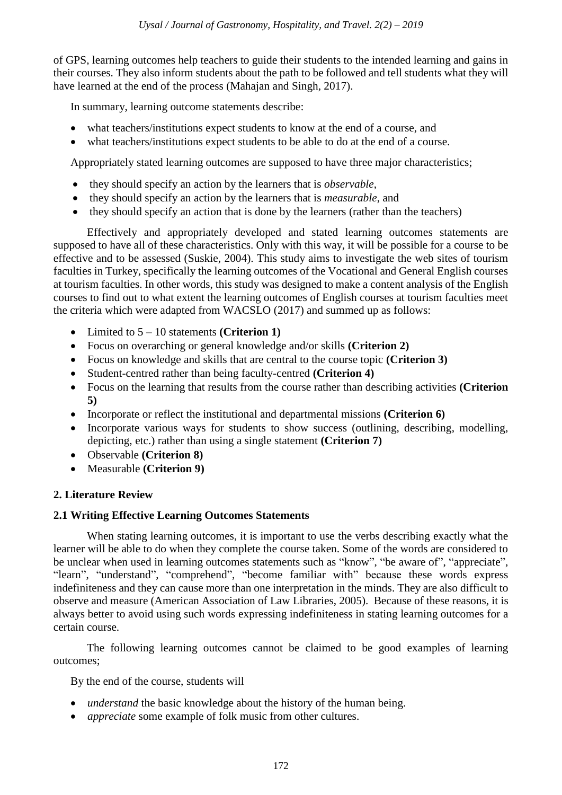of GPS, learning outcomes help teachers to guide their students to the intended learning and gains in their courses. They also inform students about the path to be followed and tell students what they will have learned at the end of the process (Mahajan and Singh, 2017).

In summary, learning outcome statements describe:

- what teachers/institutions expect students to know at the end of a course, and
- what teachers/institutions expect students to be able to do at the end of a course.

Appropriately stated learning outcomes are supposed to have three major characteristics;

- they should specify an action by the learners that is *observable*,
- they should specify an action by the learners that is *measurable*, and
- they should specify an action that is done by the learners (rather than the teachers)

Effectively and appropriately developed and stated learning outcomes statements are supposed to have all of these characteristics. Only with this way, it will be possible for a course to be effective and to be assessed (Suskie, 2004). This study aims to investigate the web sites of tourism faculties in Turkey, specifically the learning outcomes of the Vocational and General English courses at tourism faculties. In other words, this study was designed to make a content analysis of the English courses to find out to what extent the learning outcomes of English courses at tourism faculties meet the criteria which were adapted from WACSLO (2017) and summed up as follows:

- Limited to  $5 10$  statements **(Criterion 1)**
- Focus on overarching or general knowledge and/or skills **(Criterion 2)**
- Focus on knowledge and skills that are central to the course topic **(Criterion 3)**
- Student-centred rather than being faculty-centred **(Criterion 4)**
- Focus on the learning that results from the course rather than describing activities **(Criterion 5)**
- Incorporate or reflect the institutional and departmental missions **(Criterion 6)**
- Incorporate various ways for students to show success (outlining, describing, modelling, depicting, etc.) rather than using a single statement **(Criterion 7)**
- Observable **(Criterion 8)**
- Measurable **(Criterion 9)**

## **2. Literature Review**

#### **2.1 Writing Effective Learning Outcomes Statements**

When stating learning outcomes, it is important to use the verbs describing exactly what the learner will be able to do when they complete the course taken. Some of the words are considered to be unclear when used in learning outcomes statements such as "know", "be aware of", "appreciate", "learn", "understand", "comprehend", "become familiar with" because these words express indefiniteness and they can cause more than one interpretation in the minds. They are also difficult to observe and measure (American Association of Law Libraries, 2005). Because of these reasons, it is always better to avoid using such words expressing indefiniteness in stating learning outcomes for a certain course.

The following learning outcomes cannot be claimed to be good examples of learning outcomes;

By the end of the course, students will

- *understand* the basic knowledge about the history of the human being.
- *appreciate* some example of folk music from other cultures.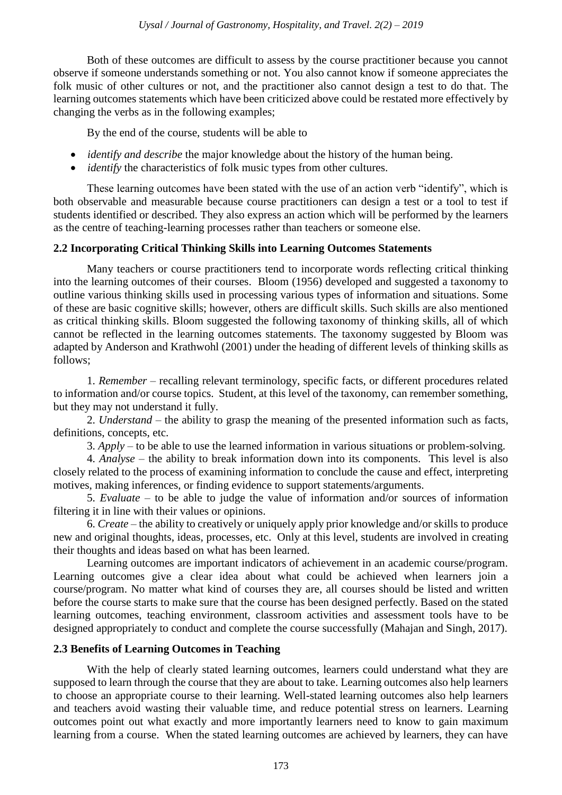Both of these outcomes are difficult to assess by the course practitioner because you cannot observe if someone understands something or not. You also cannot know if someone appreciates the folk music of other cultures or not, and the practitioner also cannot design a test to do that. The learning outcomes statements which have been criticized above could be restated more effectively by changing the verbs as in the following examples;

By the end of the course, students will be able to

- *identify and describe* the major knowledge about the history of the human being.
- *identify* the characteristics of folk music types from other cultures.

These learning outcomes have been stated with the use of an action verb "identify", which is both observable and measurable because course practitioners can design a test or a tool to test if students identified or described. They also express an action which will be performed by the learners as the centre of teaching-learning processes rather than teachers or someone else.

## **2.2 Incorporating Critical Thinking Skills into Learning Outcomes Statements**

Many teachers or course practitioners tend to incorporate words reflecting critical thinking into the learning outcomes of their courses. Bloom (1956) developed and suggested a taxonomy to outline various thinking skills used in processing various types of information and situations. Some of these are basic cognitive skills; however, others are difficult skills. Such skills are also mentioned as critical thinking skills. Bloom suggested the following taxonomy of thinking skills, all of which cannot be reflected in the learning outcomes statements. The taxonomy suggested by Bloom was adapted by Anderson and Krathwohl (2001) under the heading of different levels of thinking skills as follows;

1. *Remember* – recalling relevant terminology, specific facts, or different procedures related to information and/or course topics. Student, at this level of the taxonomy, can remember something, but they may not understand it fully.

2. *Understand* – the ability to grasp the meaning of the presented information such as facts, definitions, concepts, etc.

3. *Apply* – to be able to use the learned information in various situations or problem-solving.

4. *Analyse* – the ability to break information down into its components. This level is also closely related to the process of examining information to conclude the cause and effect, interpreting motives, making inferences, or finding evidence to support statements/arguments.

5. *Evaluate* – to be able to judge the value of information and/or sources of information filtering it in line with their values or opinions.

6. *Create* – the ability to creatively or uniquely apply prior knowledge and/or skills to produce new and original thoughts, ideas, processes, etc. Only at this level, students are involved in creating their thoughts and ideas based on what has been learned.

Learning outcomes are important indicators of achievement in an academic course/program. Learning outcomes give a clear idea about what could be achieved when learners join a course/program. No matter what kind of courses they are, all courses should be listed and written before the course starts to make sure that the course has been designed perfectly. Based on the stated learning outcomes, teaching environment, classroom activities and assessment tools have to be designed appropriately to conduct and complete the course successfully (Mahajan and Singh, 2017).

#### **2.3 Benefits of Learning Outcomes in Teaching**

With the help of clearly stated learning outcomes, learners could understand what they are supposed to learn through the course that they are about to take. Learning outcomes also help learners to choose an appropriate course to their learning. Well-stated learning outcomes also help learners and teachers avoid wasting their valuable time, and reduce potential stress on learners. Learning outcomes point out what exactly and more importantly learners need to know to gain maximum learning from a course. When the stated learning outcomes are achieved by learners, they can have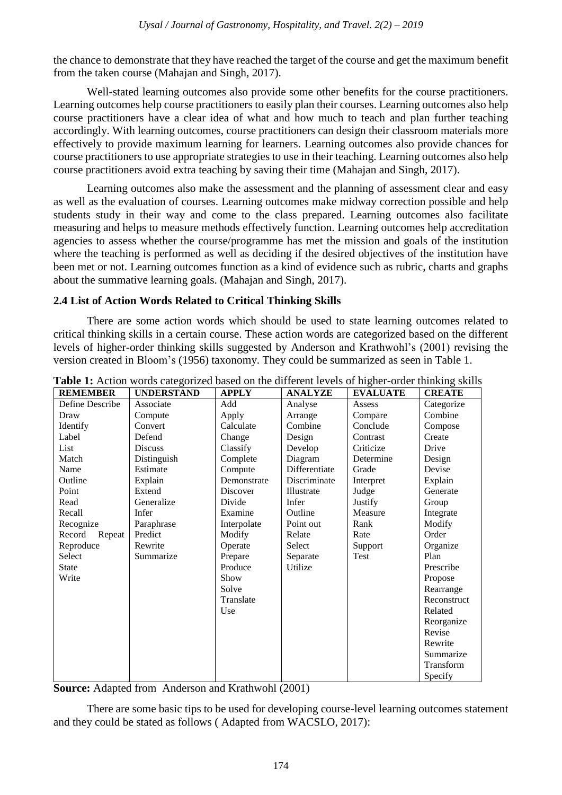the chance to demonstrate that they have reached the target of the course and get the maximum benefit from the taken course (Mahajan and Singh, 2017).

Well-stated learning outcomes also provide some other benefits for the course practitioners. Learning outcomes help course practitioners to easily plan their courses. Learning outcomes also help course practitioners have a clear idea of what and how much to teach and plan further teaching accordingly. With learning outcomes, course practitioners can design their classroom materials more effectively to provide maximum learning for learners. Learning outcomes also provide chances for course practitioners to use appropriate strategies to use in their teaching. Learning outcomes also help course practitioners avoid extra teaching by saving their time (Mahajan and Singh, 2017).

Learning outcomes also make the assessment and the planning of assessment clear and easy as well as the evaluation of courses. Learning outcomes make midway correction possible and help students study in their way and come to the class prepared. Learning outcomes also facilitate measuring and helps to measure methods effectively function. Learning outcomes help accreditation agencies to assess whether the course/programme has met the mission and goals of the institution where the teaching is performed as well as deciding if the desired objectives of the institution have been met or not. Learning outcomes function as a kind of evidence such as rubric, charts and graphs about the summative learning goals. (Mahajan and Singh, 2017).

## **2.4 List of Action Words Related to Critical Thinking Skills**

There are some action words which should be used to state learning outcomes related to critical thinking skills in a certain course. These action words are categorized based on the different levels of higher-order thinking skills suggested by Anderson and Krathwohl's (2001) revising the version created in Bloom's (1956) taxonomy. They could be summarized as seen in Table 1.

| <b>REMEMBER</b>  | <b>UNDERSTAND</b> | <b>APPLY</b> | <b>ANALYZE</b> | <b>EVALUATE</b> | <b>CREATE</b> |
|------------------|-------------------|--------------|----------------|-----------------|---------------|
| Define Describe  | Associate         | Add          | Analyse        | Assess          | Categorize    |
| Draw             | Compute           | Apply        | Arrange        | Compare         | Combine       |
| Identify         | Convert           | Calculate    | Combine        | Conclude        | Compose       |
| Label            | Defend            | Change       | Design         | Contrast        | Create        |
| List             | <b>Discuss</b>    | Classify     | Develop        | Criticize       | Drive         |
| Match            | Distinguish       | Complete     | Diagram        | Determine       | Design        |
| Name             | Estimate          | Compute      | Differentiate  | Grade           | Devise        |
| Outline          | Explain           | Demonstrate  | Discriminate   | Interpret       | Explain       |
| Point            | Extend            | Discover     | Illustrate     | Judge           | Generate      |
| Read             | Generalize        | Divide       | Infer          | Justify         | Group         |
| Recall           | Infer             | Examine      | Outline        | Measure         | Integrate     |
| Recognize        | Paraphrase        | Interpolate  | Point out      | Rank            | Modify        |
| Record<br>Repeat | Predict           | Modify       | Relate         | Rate            | Order         |
| Reproduce        | Rewrite           | Operate      | Select         | Support         | Organize      |
| Select           | Summarize         | Prepare      | Separate       | Test            | Plan          |
| <b>State</b>     |                   | Produce      | Utilize        |                 | Prescribe     |
| Write            |                   | Show         |                |                 | Propose       |
|                  |                   | Solve        |                |                 | Rearrange     |
|                  |                   | Translate    |                |                 | Reconstruct   |
|                  |                   | Use          |                |                 | Related       |
|                  |                   |              |                |                 | Reorganize    |
|                  |                   |              |                |                 | Revise        |
|                  |                   |              |                |                 | Rewrite       |
|                  |                   |              |                |                 | Summarize     |
|                  |                   |              |                |                 | Transform     |
|                  |                   |              |                |                 | Specify       |

| Table 1: Action words categorized based on the different levels of higher-order thinking skills |  |  |
|-------------------------------------------------------------------------------------------------|--|--|
|-------------------------------------------------------------------------------------------------|--|--|

**Source:** Adapted from Anderson and Krathwohl (2001)

There are some basic tips to be used for developing course-level learning outcomes statement and they could be stated as follows ( Adapted from WACSLO, 2017):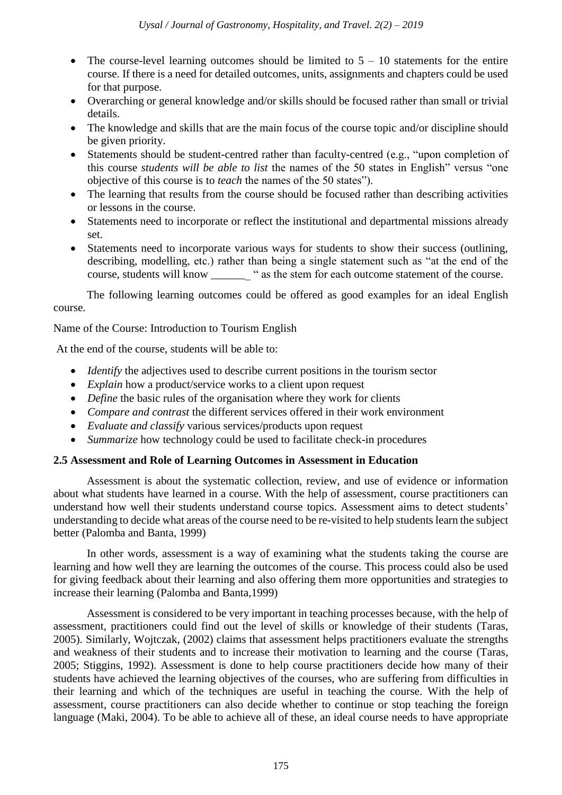- The course-level learning outcomes should be limited to  $5 10$  statements for the entire course. If there is a need for detailed outcomes, units, assignments and chapters could be used for that purpose.
- Overarching or general knowledge and/or skills should be focused rather than small or trivial details.
- The knowledge and skills that are the main focus of the course topic and/or discipline should be given priority.
- Statements should be student-centred rather than faculty-centred (e.g., "upon completion of this course *students will be able to list* the names of the 50 states in English" versus "one objective of this course is to *teach* the names of the 50 states").
- The learning that results from the course should be focused rather than describing activities or lessons in the course.
- Statements need to incorporate or reflect the institutional and departmental missions already set.
- Statements need to incorporate various ways for students to show their success (outlining, describing, modelling, etc.) rather than being a single statement such as "at the end of the course, students will know \_\_\_\_\_\_\_ " as the stem for each outcome statement of the course.

The following learning outcomes could be offered as good examples for an ideal English course.

Name of the Course: Introduction to Tourism English

At the end of the course, students will be able to:

- *Identify* the adjectives used to describe current positions in the tourism sector
- *Explain* how a product/service works to a client upon request
- *Define* the basic rules of the organisation where they work for clients
- *Compare and contrast* the different services offered in their work environment
- *Evaluate and classify* various services/products upon request
- *Summarize* how technology could be used to facilitate check-in procedures

#### **2.5 Assessment and Role of Learning Outcomes in Assessment in Education**

Assessment is about the systematic collection, review, and use of evidence or information about what students have learned in a course. With the help of assessment, course practitioners can understand how well their students understand course topics. Assessment aims to detect students' understanding to decide what areas of the course need to be re-visited to help students learn the subject better (Palomba and Banta, 1999)

In other words, assessment is a way of examining what the students taking the course are learning and how well they are learning the outcomes of the course. This process could also be used for giving feedback about their learning and also offering them more opportunities and strategies to increase their learning (Palomba and Banta,1999)

Assessment is considered to be very important in teaching processes because, with the help of assessment, practitioners could find out the level of skills or knowledge of their students (Taras, 2005). Similarly, Wojtczak, (2002) claims that assessment helps practitioners evaluate the strengths and weakness of their students and to increase their motivation to learning and the course (Taras, 2005; Stiggins, 1992). Assessment is done to help course practitioners decide how many of their students have achieved the learning objectives of the courses, who are suffering from difficulties in their learning and which of the techniques are useful in teaching the course. With the help of assessment, course practitioners can also decide whether to continue or stop teaching the foreign language (Maki, 2004). To be able to achieve all of these, an ideal course needs to have appropriate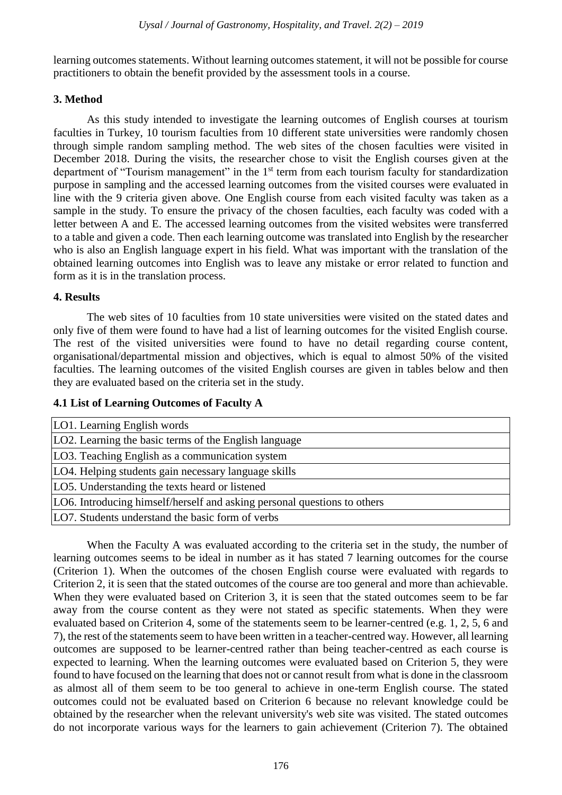learning outcomes statements. Without learning outcomes statement, it will not be possible for course practitioners to obtain the benefit provided by the assessment tools in a course.

#### **3. Method**

As this study intended to investigate the learning outcomes of English courses at tourism faculties in Turkey, 10 tourism faculties from 10 different state universities were randomly chosen through simple random sampling method. The web sites of the chosen faculties were visited in December 2018. During the visits, the researcher chose to visit the English courses given at the department of "Tourism management" in the 1<sup>st</sup> term from each tourism faculty for standardization purpose in sampling and the accessed learning outcomes from the visited courses were evaluated in line with the 9 criteria given above. One English course from each visited faculty was taken as a sample in the study. To ensure the privacy of the chosen faculties, each faculty was coded with a letter between A and E. The accessed learning outcomes from the visited websites were transferred to a table and given a code. Then each learning outcome was translated into English by the researcher who is also an English language expert in his field. What was important with the translation of the obtained learning outcomes into English was to leave any mistake or error related to function and form as it is in the translation process.

#### **4. Results**

The web sites of 10 faculties from 10 state universities were visited on the stated dates and only five of them were found to have had a list of learning outcomes for the visited English course. The rest of the visited universities were found to have no detail regarding course content, organisational/departmental mission and objectives, which is equal to almost 50% of the visited faculties. The learning outcomes of the visited English courses are given in tables below and then they are evaluated based on the criteria set in the study.

#### **4.1 List of Learning Outcomes of Faculty A**

| LO1. Learning English words                                              |
|--------------------------------------------------------------------------|
| LO2. Learning the basic terms of the English language                    |
| LO3. Teaching English as a communication system                          |
| LO4. Helping students gain necessary language skills                     |
| LO5. Understanding the texts heard or listened                           |
| LO6. Introducing himself/herself and asking personal questions to others |
| LO7. Students understand the basic form of verbs                         |

When the Faculty A was evaluated according to the criteria set in the study, the number of learning outcomes seems to be ideal in number as it has stated 7 learning outcomes for the course (Criterion 1). When the outcomes of the chosen English course were evaluated with regards to Criterion 2, it is seen that the stated outcomes of the course are too general and more than achievable. When they were evaluated based on Criterion 3, it is seen that the stated outcomes seem to be far away from the course content as they were not stated as specific statements. When they were evaluated based on Criterion 4, some of the statements seem to be learner-centred (e.g. 1, 2, 5, 6 and 7), the rest of the statements seem to have been written in a teacher-centred way. However, all learning outcomes are supposed to be learner-centred rather than being teacher-centred as each course is expected to learning. When the learning outcomes were evaluated based on Criterion 5, they were found to have focused on the learning that does not or cannot result from what is done in the classroom as almost all of them seem to be too general to achieve in one-term English course. The stated outcomes could not be evaluated based on Criterion 6 because no relevant knowledge could be obtained by the researcher when the relevant university's web site was visited. The stated outcomes do not incorporate various ways for the learners to gain achievement (Criterion 7). The obtained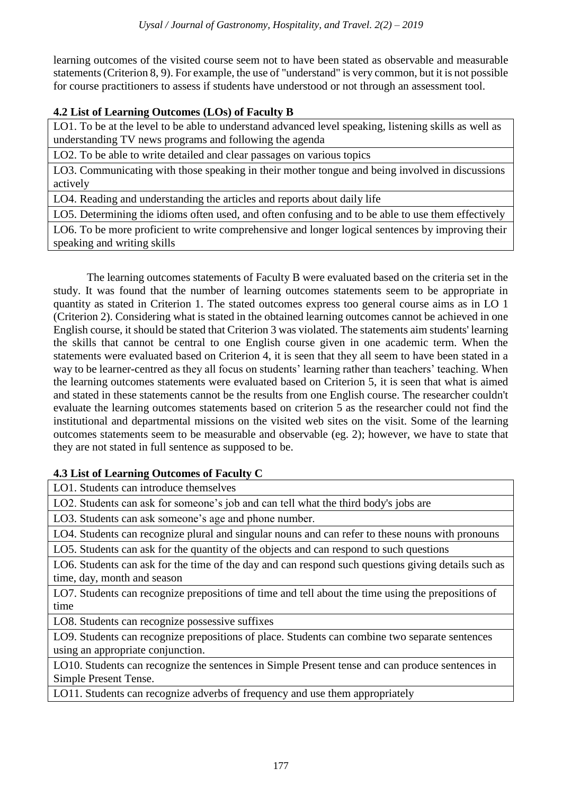learning outcomes of the visited course seem not to have been stated as observable and measurable statements (Criterion 8, 9). For example, the use of "understand" is very common, but it is not possible for course practitioners to assess if students have understood or not through an assessment tool.

# **4.2 List of Learning Outcomes (LOs) of Faculty B**

LO1. To be at the level to be able to understand advanced level speaking, listening skills as well as understanding TV news programs and following the agenda

LO2. To be able to write detailed and clear passages on various topics

LO3. Communicating with those speaking in their mother tongue and being involved in discussions actively

LO4. Reading and understanding the articles and reports about daily life

LO5. Determining the idioms often used, and often confusing and to be able to use them effectively

LO6. To be more proficient to write comprehensive and longer logical sentences by improving their speaking and writing skills

The learning outcomes statements of Faculty B were evaluated based on the criteria set in the study. It was found that the number of learning outcomes statements seem to be appropriate in quantity as stated in Criterion 1. The stated outcomes express too general course aims as in LO 1 (Criterion 2). Considering what is stated in the obtained learning outcomes cannot be achieved in one English course, it should be stated that Criterion 3 was violated. The statements aim students' learning the skills that cannot be central to one English course given in one academic term. When the statements were evaluated based on Criterion 4, it is seen that they all seem to have been stated in a way to be learner-centred as they all focus on students' learning rather than teachers' teaching. When the learning outcomes statements were evaluated based on Criterion 5, it is seen that what is aimed and stated in these statements cannot be the results from one English course. The researcher couldn't evaluate the learning outcomes statements based on criterion 5 as the researcher could not find the institutional and departmental missions on the visited web sites on the visit. Some of the learning outcomes statements seem to be measurable and observable (eg. 2); however, we have to state that they are not stated in full sentence as supposed to be.

## **4.3 List of Learning Outcomes of Faculty C**

LO1. Students can introduce themselves

LO2. Students can ask for someone's job and can tell what the third body's jobs are

LO3. Students can ask someone's age and phone number.

LO4. Students can recognize plural and singular nouns and can refer to these nouns with pronouns

LO5. Students can ask for the quantity of the objects and can respond to such questions

LO6. Students can ask for the time of the day and can respond such questions giving details such as time, day, month and season

LO7. Students can recognize prepositions of time and tell about the time using the prepositions of time

LO8. Students can recognize possessive suffixes

LO9. Students can recognize prepositions of place. Students can combine two separate sentences using an appropriate conjunction.

LO10. Students can recognize the sentences in Simple Present tense and can produce sentences in Simple Present Tense.

LO11. Students can recognize adverbs of frequency and use them appropriately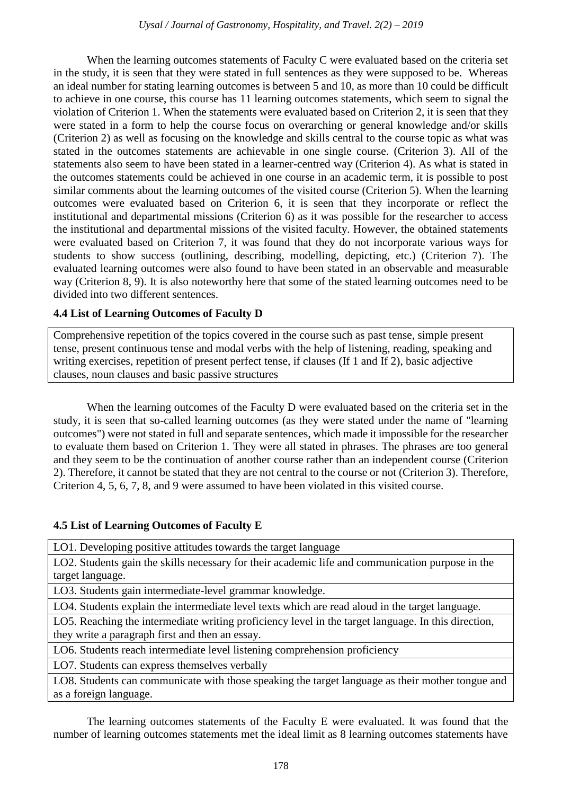When the learning outcomes statements of Faculty C were evaluated based on the criteria set in the study, it is seen that they were stated in full sentences as they were supposed to be. Whereas an ideal number for stating learning outcomes is between 5 and 10, as more than 10 could be difficult to achieve in one course, this course has 11 learning outcomes statements, which seem to signal the violation of Criterion 1. When the statements were evaluated based on Criterion 2, it is seen that they were stated in a form to help the course focus on overarching or general knowledge and/or skills (Criterion 2) as well as focusing on the knowledge and skills central to the course topic as what was stated in the outcomes statements are achievable in one single course. (Criterion 3). All of the statements also seem to have been stated in a learner-centred way (Criterion 4). As what is stated in the outcomes statements could be achieved in one course in an academic term, it is possible to post similar comments about the learning outcomes of the visited course (Criterion 5). When the learning outcomes were evaluated based on Criterion 6, it is seen that they incorporate or reflect the institutional and departmental missions (Criterion 6) as it was possible for the researcher to access the institutional and departmental missions of the visited faculty. However, the obtained statements were evaluated based on Criterion 7, it was found that they do not incorporate various ways for students to show success (outlining, describing, modelling, depicting, etc.) (Criterion 7). The evaluated learning outcomes were also found to have been stated in an observable and measurable way (Criterion 8, 9). It is also noteworthy here that some of the stated learning outcomes need to be divided into two different sentences.

## **4.4 List of Learning Outcomes of Faculty D**

Comprehensive repetition of the topics covered in the course such as past tense, simple present tense, present continuous tense and modal verbs with the help of listening, reading, speaking and writing exercises, repetition of present perfect tense, if clauses (If 1 and If 2), basic adjective clauses, noun clauses and basic passive structures

When the learning outcomes of the Faculty D were evaluated based on the criteria set in the study, it is seen that so-called learning outcomes (as they were stated under the name of "learning outcomes") were not stated in full and separate sentences, which made it impossible for the researcher to evaluate them based on Criterion 1. They were all stated in phrases. The phrases are too general and they seem to be the continuation of another course rather than an independent course (Criterion 2). Therefore, it cannot be stated that they are not central to the course or not (Criterion 3). Therefore, Criterion 4, 5, 6, 7, 8, and 9 were assumed to have been violated in this visited course.

## **4.5 List of Learning Outcomes of Faculty E**

LO1. Developing positive attitudes towards the target language

LO2. Students gain the skills necessary for their academic life and communication purpose in the target language.

LO3. Students gain intermediate-level grammar knowledge.

LO4. Students explain the intermediate level texts which are read aloud in the target language.

LO5. Reaching the intermediate writing proficiency level in the target language. In this direction, they write a paragraph first and then an essay.

LO6. Students reach intermediate level listening comprehension proficiency

LO7. Students can express themselves verbally

LO8. Students can communicate with those speaking the target language as their mother tongue and as a foreign language.

The learning outcomes statements of the Faculty E were evaluated. It was found that the number of learning outcomes statements met the ideal limit as 8 learning outcomes statements have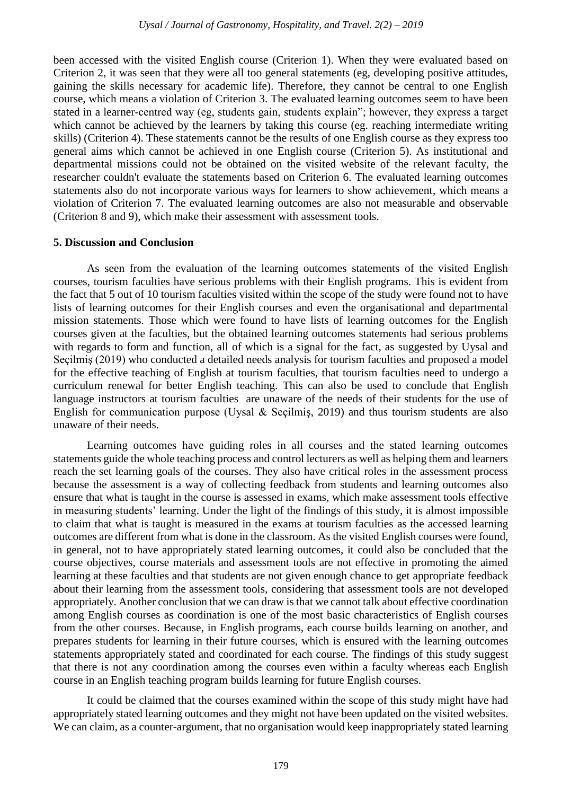been accessed with the visited English course (Criterion 1). When they were evaluated based on Criterion 2, it was seen that they were all too general statements (eg, developing positive attitudes, gaining the skills necessary for academic life). Therefore, they cannot be central to one English course, which means a violation of Criterion 3. The evaluated learning outcomes seem to have been stated in a learner-centred way (eg, students gain, students explain"; however, they express a target which cannot be achieved by the learners by taking this course (eg. reaching intermediate writing skills) (Criterion 4). These statements cannot be the results of one English course as they express too general aims which cannot be achieved in one English course (Criterion 5). As institutional and departmental missions could not be obtained on the visited website of the relevant faculty, the researcher couldn't evaluate the statements based on Criterion 6. The evaluated learning outcomes statements also do not incorporate various ways for learners to show achievement, which means a violation of Criterion 7. The evaluated learning outcomes are also not measurable and observable (Criterion 8 and 9), which make their assessment with assessment tools.

#### **5. Discussion and Conclusion**

As seen from the evaluation of the learning outcomes statements of the visited English courses, tourism faculties have serious problems with their English programs. This is evident from the fact that 5 out of 10 tourism faculties visited within the scope of the study were found not to have lists of learning outcomes for their English courses and even the organisational and departmental mission statements. Those which were found to have lists of learning outcomes for the English courses given at the faculties, but the obtained learning outcomes statements had serious problems with regards to form and function, all of which is a signal for the fact, as suggested by Uysal and Seçilmiş (2019) who conducted a detailed needs analysis for tourism faculties and proposed a model for the effective teaching of English at tourism faculties, that tourism faculties need to undergo a curriculum renewal for better English teaching. This can also be used to conclude that English language instructors at tourism faculties are unaware of the needs of their students for the use of English for communication purpose (Uysal & Seçilmiş, 2019) and thus tourism students are also unaware of their needs.

Learning outcomes have guiding roles in all courses and the stated learning outcomes statements guide the whole teaching process and control lecturers as well as helping them and learners reach the set learning goals of the courses. They also have critical roles in the assessment process because the assessment is a way of collecting feedback from students and learning outcomes also ensure that what is taught in the course is assessed in exams, which make assessment tools effective in measuring students' learning. Under the light of the findings of this study, it is almost impossible to claim that what is taught is measured in the exams at tourism faculties as the accessed learning outcomes are different from what is done in the classroom. As the visited English courses were found, in general, not to have appropriately stated learning outcomes, it could also be concluded that the course objectives, course materials and assessment tools are not effective in promoting the aimed learning at these faculties and that students are not given enough chance to get appropriate feedback about their learning from the assessment tools, considering that assessment tools are not developed appropriately. Another conclusion that we can draw is that we cannot talk about effective coordination among English courses as coordination is one of the most basic characteristics of English courses from the other courses. Because, in English programs, each course builds learning on another, and prepares students for learning in their future courses, which is ensured with the learning outcomes statements appropriately stated and coordinated for each course. The findings of this study suggest that there is not any coordination among the courses even within a faculty whereas each English course in an English teaching program builds learning for future English courses.

It could be claimed that the courses examined within the scope of this study might have had appropriately stated learning outcomes and they might not have been updated on the visited websites. We can claim, as a counter-argument, that no organisation would keep inappropriately stated learning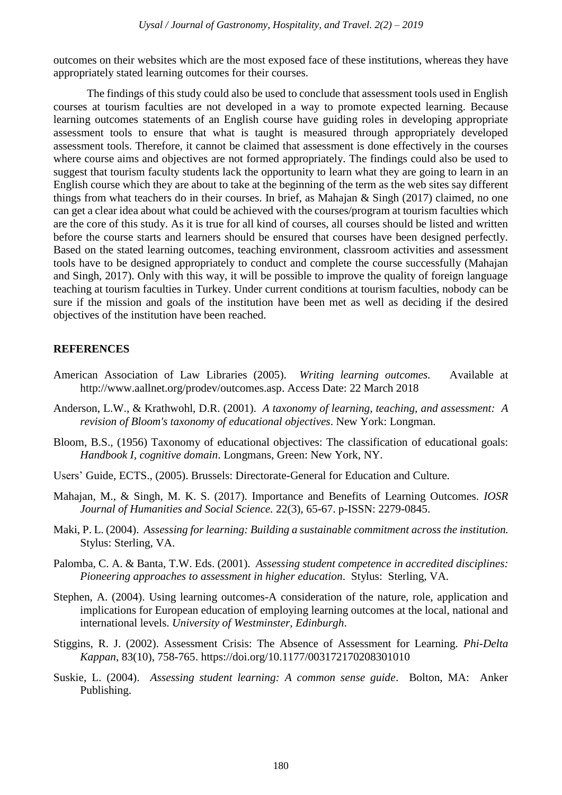outcomes on their websites which are the most exposed face of these institutions, whereas they have appropriately stated learning outcomes for their courses.

The findings of this study could also be used to conclude that assessment tools used in English courses at tourism faculties are not developed in a way to promote expected learning. Because learning outcomes statements of an English course have guiding roles in developing appropriate assessment tools to ensure that what is taught is measured through appropriately developed assessment tools. Therefore, it cannot be claimed that assessment is done effectively in the courses where course aims and objectives are not formed appropriately. The findings could also be used to suggest that tourism faculty students lack the opportunity to learn what they are going to learn in an English course which they are about to take at the beginning of the term as the web sites say different things from what teachers do in their courses. In brief, as Mahajan & Singh (2017) claimed, no one can get a clear idea about what could be achieved with the courses/program at tourism faculties which are the core of this study. As it is true for all kind of courses, all courses should be listed and written before the course starts and learners should be ensured that courses have been designed perfectly. Based on the stated learning outcomes, teaching environment, classroom activities and assessment tools have to be designed appropriately to conduct and complete the course successfully (Mahajan and Singh, 2017). Only with this way, it will be possible to improve the quality of foreign language teaching at tourism faculties in Turkey. Under current conditions at tourism faculties, nobody can be sure if the mission and goals of the institution have been met as well as deciding if the desired objectives of the institution have been reached.

## **REFERENCES**

- American Association of Law Libraries (2005). *Writing learning outcomes.* Available at http://www.aallnet.org/prodev/outcomes.asp. Access Date: 22 March 2018
- Anderson, L.W., & Krathwohl, D.R. (2001). *A taxonomy of learning, teaching, and assessment: A revision of Bloom's taxonomy of educational objectives*. New York: Longman.
- Bloom, B.S., (1956) Taxonomy of educational objectives: The classification of educational goals: *Handbook I, cognitive domain*. Longmans, Green: New York, NY.
- Users' Guide, ECTS., (2005). Brussels: Directorate-General for Education and Culture.
- Mahajan, M., & Singh, M. K. S. (2017). Importance and Benefits of Learning Outcomes. *IOSR Journal of Humanities and Social Science.* 22(3), 65-67. p-ISSN: 2279-0845.
- Maki, P. L. (2004). *Assessing for learning: Building a sustainable commitment across the institution.* Stylus: Sterling, VA.
- Palomba, C. A. & Banta, T.W. Eds. (2001). *Assessing student competence in accredited disciplines: Pioneering approaches to assessment in higher education*. Stylus: Sterling, VA.
- Stephen, A. (2004). Using learning outcomes-A consideration of the nature, role, application and implications for European education of employing learning outcomes at the local, national and international levels. *University of Westminster, Edinburgh*.
- Stiggins, R. J. (2002). Assessment Crisis: The Absence of Assessment for Learning. *Phi-Delta Kappan*, 83(10), 758-765.<https://doi.org/10.1177/003172170208301010>
- Suskie, L. (2004). *Assessing student learning: A common sense guide*. Bolton, MA: Anker Publishing.